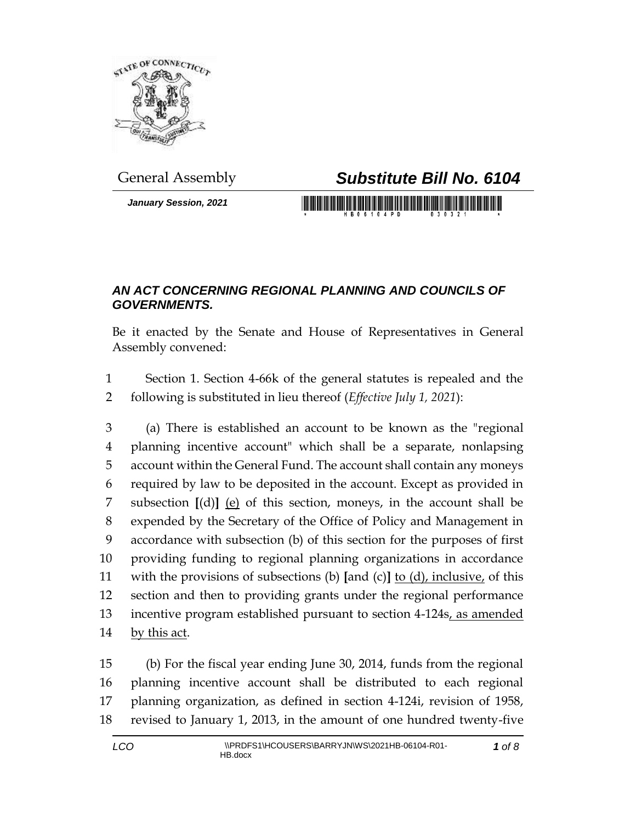

*January Session, 2021*

## General Assembly *Substitute Bill No. 6104*

<u> 1989 - Johann Maria Maria Maria Maria III (</u>

## *AN ACT CONCERNING REGIONAL PLANNING AND COUNCILS OF GOVERNMENTS.*

Be it enacted by the Senate and House of Representatives in General Assembly convened:

 Section 1. Section 4-66k of the general statutes is repealed and the following is substituted in lieu thereof (*Effective July 1, 2021*):

 (a) There is established an account to be known as the "regional planning incentive account" which shall be a separate, nonlapsing account within the General Fund. The account shall contain any moneys required by law to be deposited in the account. Except as provided in subsection **[**(d)**]** (e) of this section, moneys, in the account shall be expended by the Secretary of the Office of Policy and Management in accordance with subsection (b) of this section for the purposes of first providing funding to regional planning organizations in accordance with the provisions of subsections (b) **[**and (c)**]** to (d), inclusive, of this section and then to providing grants under the regional performance 13 incentive program established pursuant to section 4-124s, as amended 14 by this act.

 (b) For the fiscal year ending June 30, 2014, funds from the regional planning incentive account shall be distributed to each regional planning organization, as defined in section 4-124i, revision of 1958, revised to January 1, 2013, in the amount of one hundred twenty-five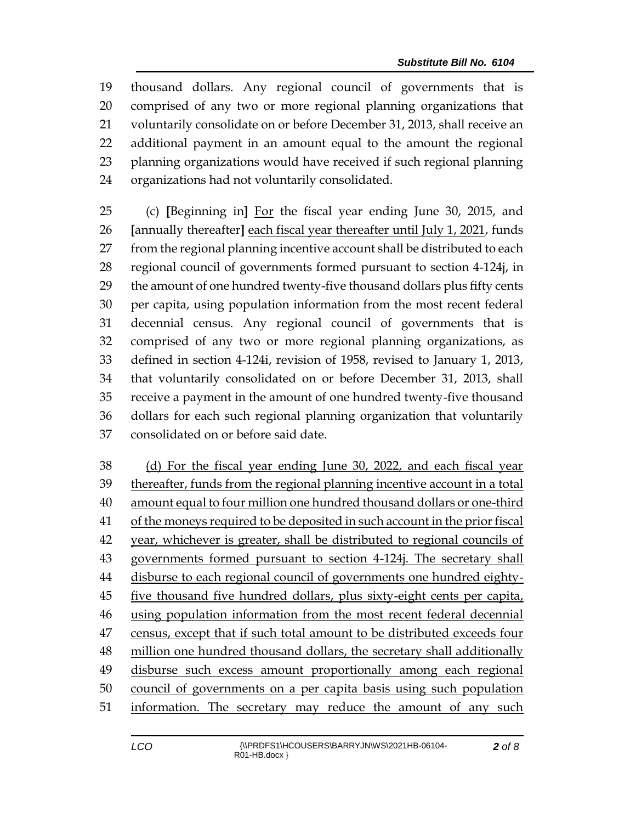thousand dollars. Any regional council of governments that is comprised of any two or more regional planning organizations that voluntarily consolidate on or before December 31, 2013, shall receive an additional payment in an amount equal to the amount the regional planning organizations would have received if such regional planning organizations had not voluntarily consolidated.

 (c) **[**Beginning in**]** For the fiscal year ending June 30, 2015, and **[**annually thereafter**]** each fiscal year thereafter until July 1, 2021, funds from the regional planning incentive account shall be distributed to each regional council of governments formed pursuant to section 4-124j, in the amount of one hundred twenty-five thousand dollars plus fifty cents per capita, using population information from the most recent federal decennial census. Any regional council of governments that is comprised of any two or more regional planning organizations, as defined in section 4-124i, revision of 1958, revised to January 1, 2013, that voluntarily consolidated on or before December 31, 2013, shall receive a payment in the amount of one hundred twenty-five thousand dollars for each such regional planning organization that voluntarily consolidated on or before said date.

 (d) For the fiscal year ending June 30, 2022, and each fiscal year thereafter, funds from the regional planning incentive account in a total amount equal to four million one hundred thousand dollars or one-third of the moneys required to be deposited in such account in the prior fiscal year, whichever is greater, shall be distributed to regional councils of 43 governments formed pursuant to section 4-124*j*. The secretary shall disburse to each regional council of governments one hundred eighty-45 five thousand five hundred dollars, plus sixty-eight cents per capita, using population information from the most recent federal decennial 47 census, except that if such total amount to be distributed exceeds four million one hundred thousand dollars, the secretary shall additionally disburse such excess amount proportionally among each regional council of governments on a per capita basis using such population information. The secretary may reduce the amount of any such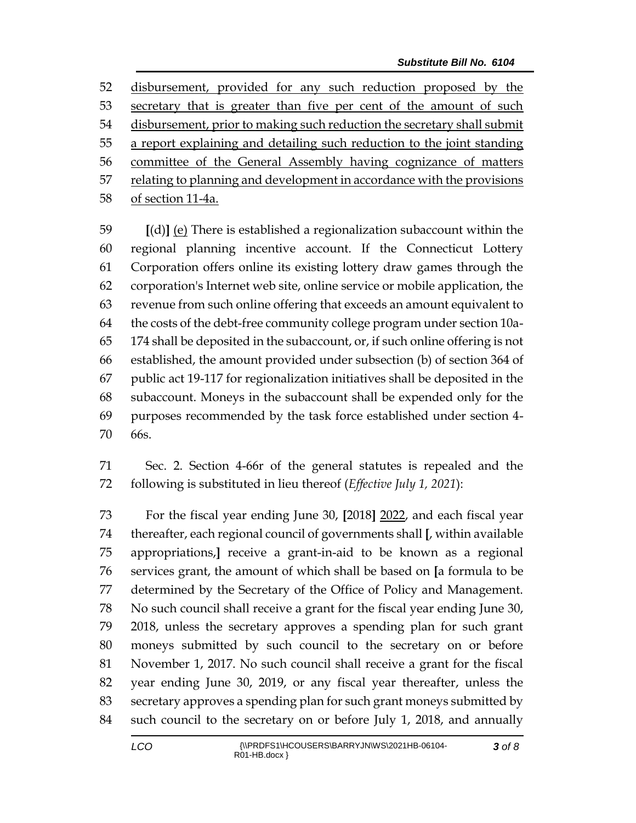disbursement, provided for any such reduction proposed by the 53 secretary that is greater than five per cent of the amount of such 54 disbursement, prior to making such reduction the secretary shall submit a report explaining and detailing such reduction to the joint standing committee of the General Assembly having cognizance of matters 57 relating to planning and development in accordance with the provisions of section 11-4a.

 **[**(d)**]** (e) There is established a regionalization subaccount within the regional planning incentive account. If the Connecticut Lottery Corporation offers online its existing lottery draw games through the corporation's Internet web site, online service or mobile application, the revenue from such online offering that exceeds an amount equivalent to the costs of the debt-free community college program under section 10a- 174 shall be deposited in the subaccount, or, if such online offering is not established, the amount provided under subsection (b) of section 364 of public act 19-117 for regionalization initiatives shall be deposited in the subaccount. Moneys in the subaccount shall be expended only for the purposes recommended by the task force established under section 4- 66s.

 Sec. 2. Section 4-66r of the general statutes is repealed and the following is substituted in lieu thereof (*Effective July 1, 2021*):

 For the fiscal year ending June 30, **[**2018**]** 2022, and each fiscal year thereafter, each regional council of governments shall **[**, within available appropriations,**]** receive a grant-in-aid to be known as a regional services grant, the amount of which shall be based on **[**a formula to be determined by the Secretary of the Office of Policy and Management. No such council shall receive a grant for the fiscal year ending June 30, 2018, unless the secretary approves a spending plan for such grant moneys submitted by such council to the secretary on or before November 1, 2017. No such council shall receive a grant for the fiscal year ending June 30, 2019, or any fiscal year thereafter, unless the secretary approves a spending plan for such grant moneys submitted by such council to the secretary on or before July 1, 2018, and annually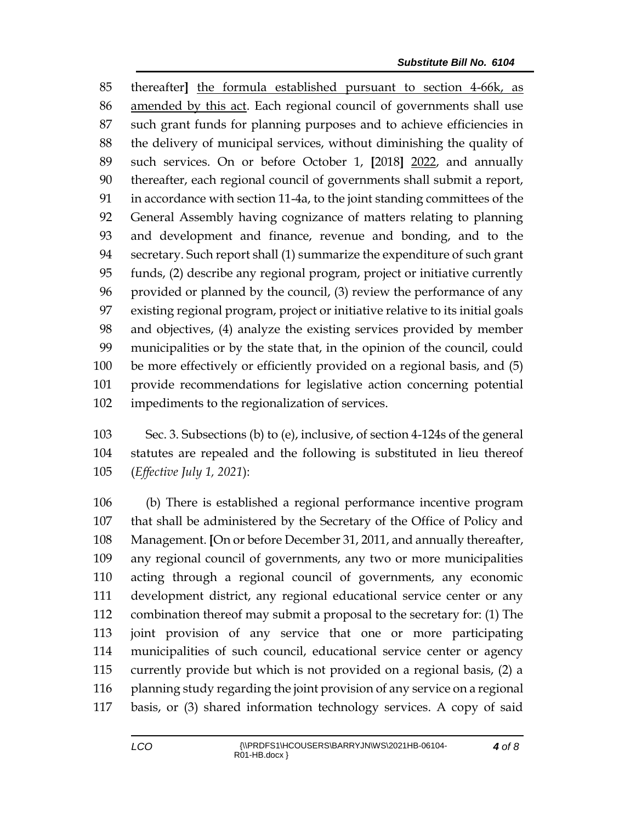thereafter**]** the formula established pursuant to section 4-66k, as amended by this act. Each regional council of governments shall use such grant funds for planning purposes and to achieve efficiencies in the delivery of municipal services, without diminishing the quality of such services. On or before October 1, **[**2018**]** 2022, and annually thereafter, each regional council of governments shall submit a report, in accordance with section 11-4a, to the joint standing committees of the General Assembly having cognizance of matters relating to planning and development and finance, revenue and bonding, and to the secretary. Such report shall (1) summarize the expenditure of such grant funds, (2) describe any regional program, project or initiative currently provided or planned by the council, (3) review the performance of any existing regional program, project or initiative relative to its initial goals and objectives, (4) analyze the existing services provided by member municipalities or by the state that, in the opinion of the council, could be more effectively or efficiently provided on a regional basis, and (5) provide recommendations for legislative action concerning potential impediments to the regionalization of services.

 Sec. 3. Subsections (b) to (e), inclusive, of section 4-124s of the general statutes are repealed and the following is substituted in lieu thereof (*Effective July 1, 2021*):

 (b) There is established a regional performance incentive program that shall be administered by the Secretary of the Office of Policy and Management. **[**On or before December 31, 2011, and annually thereafter, any regional council of governments, any two or more municipalities acting through a regional council of governments, any economic development district, any regional educational service center or any combination thereof may submit a proposal to the secretary for: (1) The joint provision of any service that one or more participating municipalities of such council, educational service center or agency currently provide but which is not provided on a regional basis, (2) a 116 planning study regarding the joint provision of any service on a regional basis, or (3) shared information technology services. A copy of said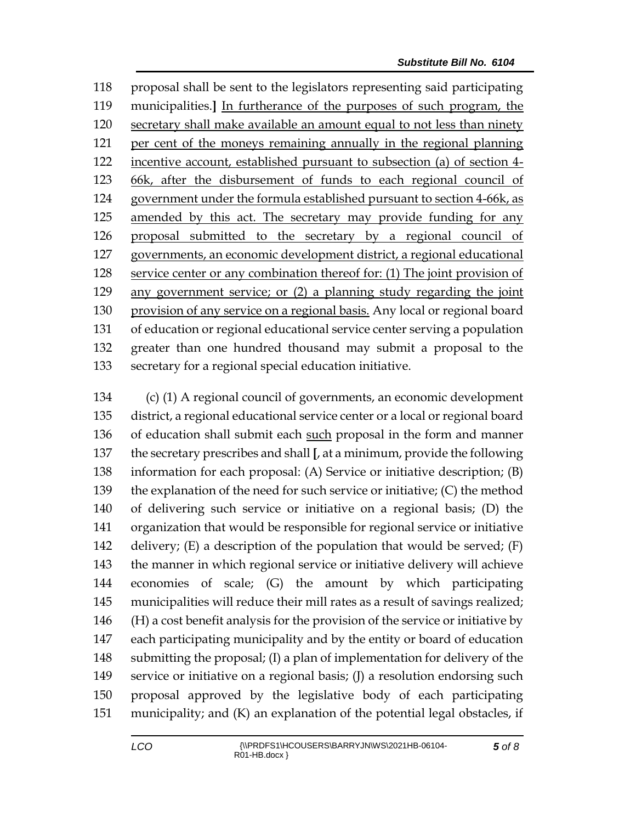proposal shall be sent to the legislators representing said participating municipalities.**]** In furtherance of the purposes of such program, the secretary shall make available an amount equal to not less than ninety per cent of the moneys remaining annually in the regional planning incentive account, established pursuant to subsection (a) of section 4- 66k, after the disbursement of funds to each regional council of government under the formula established pursuant to section 4-66k, as amended by this act. The secretary may provide funding for any proposal submitted to the secretary by a regional council of governments, an economic development district, a regional educational service center or any combination thereof for: (1) The joint provision of any government service; or (2) a planning study regarding the joint provision of any service on a regional basis. Any local or regional board of education or regional educational service center serving a population greater than one hundred thousand may submit a proposal to the secretary for a regional special education initiative.

 (c) (1) A regional council of governments, an economic development district, a regional educational service center or a local or regional board of education shall submit each such proposal in the form and manner the secretary prescribes and shall **[**, at a minimum, provide the following information for each proposal: (A) Service or initiative description; (B) the explanation of the need for such service or initiative; (C) the method of delivering such service or initiative on a regional basis; (D) the organization that would be responsible for regional service or initiative 142 delivery;  $(E)$  a description of the population that would be served;  $(F)$  the manner in which regional service or initiative delivery will achieve economies of scale; (G) the amount by which participating municipalities will reduce their mill rates as a result of savings realized; (H) a cost benefit analysis for the provision of the service or initiative by each participating municipality and by the entity or board of education submitting the proposal; (I) a plan of implementation for delivery of the service or initiative on a regional basis; (J) a resolution endorsing such proposal approved by the legislative body of each participating municipality; and (K) an explanation of the potential legal obstacles, if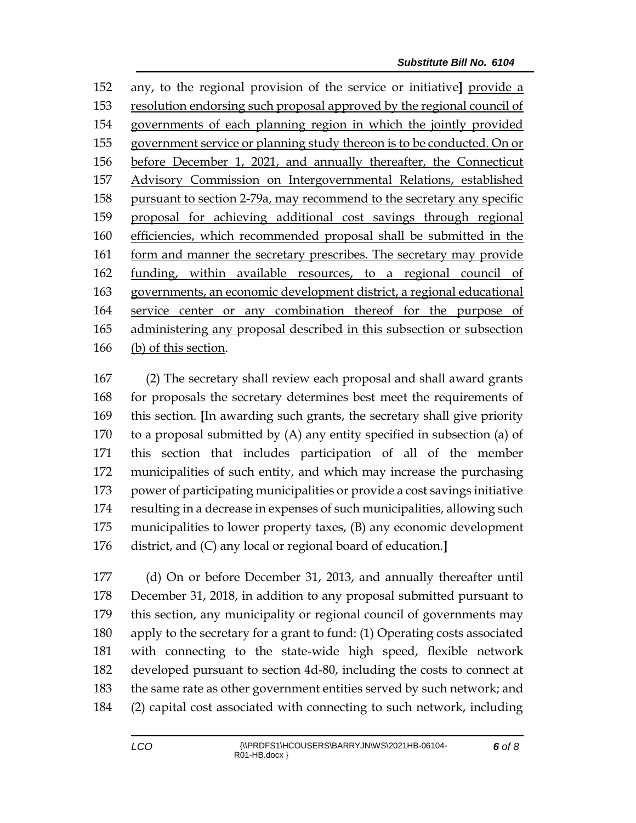any, to the regional provision of the service or initiative**]** provide a resolution endorsing such proposal approved by the regional council of governments of each planning region in which the jointly provided government service or planning study thereon is to be conducted. On or before December 1, 2021, and annually thereafter, the Connecticut Advisory Commission on Intergovernmental Relations, established pursuant to section 2-79a, may recommend to the secretary any specific proposal for achieving additional cost savings through regional efficiencies, which recommended proposal shall be submitted in the form and manner the secretary prescribes. The secretary may provide funding, within available resources, to a regional council of governments, an economic development district, a regional educational service center or any combination thereof for the purpose of administering any proposal described in this subsection or subsection (b) of this section.

 (2) The secretary shall review each proposal and shall award grants for proposals the secretary determines best meet the requirements of this section. **[**In awarding such grants, the secretary shall give priority to a proposal submitted by (A) any entity specified in subsection (a) of this section that includes participation of all of the member municipalities of such entity, and which may increase the purchasing power of participating municipalities or provide a cost savings initiative resulting in a decrease in expenses of such municipalities, allowing such municipalities to lower property taxes, (B) any economic development district, and (C) any local or regional board of education.**]**

 (d) On or before December 31, 2013, and annually thereafter until December 31, 2018, in addition to any proposal submitted pursuant to this section, any municipality or regional council of governments may apply to the secretary for a grant to fund: (1) Operating costs associated with connecting to the state-wide high speed, flexible network developed pursuant to section 4d-80, including the costs to connect at the same rate as other government entities served by such network; and (2) capital cost associated with connecting to such network, including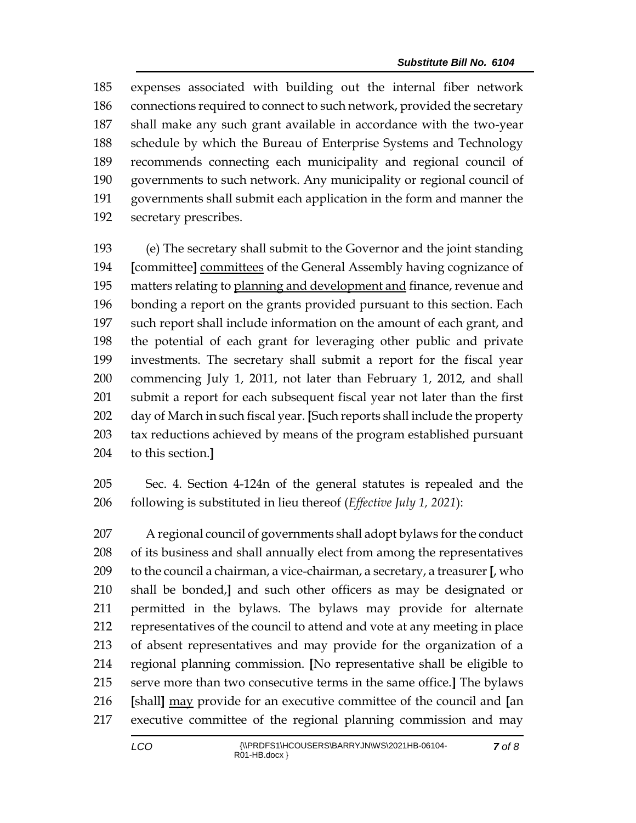expenses associated with building out the internal fiber network 186 connections required to connect to such network, provided the secretary shall make any such grant available in accordance with the two-year schedule by which the Bureau of Enterprise Systems and Technology recommends connecting each municipality and regional council of governments to such network. Any municipality or regional council of governments shall submit each application in the form and manner the secretary prescribes.

 (e) The secretary shall submit to the Governor and the joint standing **[**committee**]** committees of the General Assembly having cognizance of matters relating to planning and development and finance, revenue and bonding a report on the grants provided pursuant to this section. Each such report shall include information on the amount of each grant, and the potential of each grant for leveraging other public and private investments. The secretary shall submit a report for the fiscal year commencing July 1, 2011, not later than February 1, 2012, and shall submit a report for each subsequent fiscal year not later than the first day of March in such fiscal year. **[**Such reports shall include the property tax reductions achieved by means of the program established pursuant to this section.**]**

 Sec. 4. Section 4-124n of the general statutes is repealed and the following is substituted in lieu thereof (*Effective July 1, 2021*):

 A regional council of governments shall adopt bylaws for the conduct of its business and shall annually elect from among the representatives to the council a chairman, a vice-chairman, a secretary, a treasurer **[**, who shall be bonded,**]** and such other officers as may be designated or permitted in the bylaws. The bylaws may provide for alternate representatives of the council to attend and vote at any meeting in place of absent representatives and may provide for the organization of a regional planning commission. **[**No representative shall be eligible to serve more than two consecutive terms in the same office.**]** The bylaws **[**shall**]** may provide for an executive committee of the council and **[**an executive committee of the regional planning commission and may